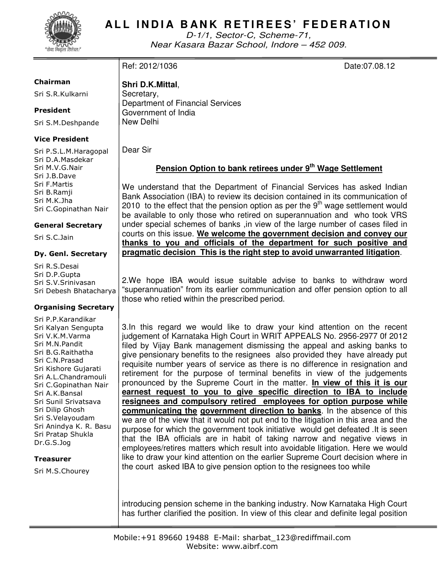

## **ALL INDIA BANK RETIREES' FEDERATION**

D-1/1, Sector-C, Scheme-71, Near Kasara Bazar School, Indore – 452 009.

## Ref: 2012/1036 **Date:07.08.12**

Sri S.R.Kulkarni

### President

Chairman

Sri S.M.Deshpande

### Vice President

Sri P.S.L.M.Haragopal Sri D.A.Masdekar Sri M.V.G.Nair Sri J.B.Dave Sri F.Martis Sri B.Ramji Sri M.K.Jha Sri C.Gopinathan Nair

### General Secretary

Sri S.C.Jain

### Dy. Genl. Secretary

Sri R.S.Desai Sri D.P.Gupta Sri S.V.Srinivasan Sri Debesh Bhatacharya

### Organising Secretary

Sri P.P.Karandikar Sri Kalyan Sengupta Sri V.K.M.Varma Sri M.N.Pandit Sri B.G.Raithatha Sri C.N.Prasad Sri Kishore Gujarati Sri A.L.Chandramouli Sri C.Gopinathan Nair Sri A.K.Bansal Sri Sunil Srivatsava Sri Dilip Ghosh Sri S.Velayoudam Sri Anindya K. R. Basu Sri Pratap Shukla Dr.G.S.Jog

### Treasurer

Sri M.S.Chourey

**Shri D.K.Mittal**, Secretary, Department of Financial Services Government of India New Delhi

Dear Sir

## **Pension Option to bank retirees under 9th Wage Settlement**

We understand that the Department of Financial Services has asked Indian Bank Association (IBA) to review its decision contained in its communication of 2010 to the effect that the pension option as per the  $9<sup>th</sup>$  wage settlement would be available to only those who retired on superannuation and who took VRS under special schemes of banks ,in view of the large number of cases filed in courts on this issue. **We welcome the government decision and convey our thanks to you and officials of the department for such positive and pragmatic decision This is the right step to avoid unwarranted litigation**.

2.We hope IBA would issue suitable advise to banks to withdraw word "superannuation" from its earlier communication and offer pension option to all those who retied within the prescribed period.

3.In this regard we would like to draw your kind attention on the recent judgement of Karnataka High Court in WRIT APPEALS No. 2956-2977 0f 2012 filed by Vijay Bank management dismissing the appeal and asking banks to give pensionary benefits to the resignees also provided they have already put requisite number years of service as there is no difference in resignation and retirement for the purpose of terminal benefits in view of the judgements pronounced by the Supreme Court in the matter. **In view of this it is our earnest request to you to give specific direction to IBA to include resignees and compulsory retired employees for option purpose while communicating the government direction to banks**. In the absence of this we are of the view that it would not put end to the litigation in this area and the purpose for which the government took initiative would get defeated .It is seen that the IBA officials are in habit of taking narrow and negative views in employees/retires matters which result into avoidable litigation. Here we would like to draw your kind attention on the earlier Supreme Court decision where in the court asked IBA to give pension option to the resignees too while

introducing pension scheme in the banking industry. Now Karnataka High Court has further clarified the position. In view of this clear and definite legal position